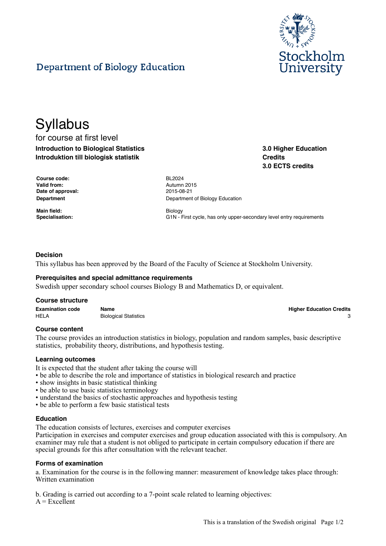

# Department of Biology Education

# **Syllabus**

for course at first level **Introduction to Biological Statistics Introduktion till biologisk statistik**

**3.0 Higher Education Credits 3.0 ECTS credits**

| <b>Course code:</b> | <b>BL2024</b> |
|---------------------|---------------|
| Valid from:         | Autumn        |
| Date of approval:   | 2015-08       |
| Department          | Departn       |

**Main field:** Biology

**Valid from:** Autumn 2015 **Date of approval:** 2015-08-21 **Department of Biology Education** 

Specialisation: **G1N** - First cycle, has only upper-secondary level entry requirements

# **Decision**

This syllabus has been approved by the Board of the Faculty of Science at Stockholm University.

# **Prerequisites and special admittance requirements**

Swedish upper secondary school courses Biology B and Mathematics D, or equivalent.

#### **Course structure**

**Examination code Name Higher Education Credits** HELA Biological Statistics 3 and 3 and 3 and 3 and 3 and 3 and 3 and 3 and 3 and 3 and 3 and 3 and 3 and 3 and 3 and 3 and 3 and 3 and 3 and 3 and 3 and 3 and 3 and 3 and 3 and 3 and 3 and 3 and 3 and 3 and 3 and 3 and 3 a

# **Course content**

The course provides an introduction statistics in biology, population and random samples, basic descriptive statistics, probability theory, distributions, and hypothesis testing.

#### **Learning outcomes**

It is expected that the student after taking the course will

- be able to describe the role and importance of statistics in biological research and practice
- show insights in basic statistical thinking
- be able to use basic statistics terminology
- understand the basics of stochastic approaches and hypothesis testing
- be able to perform a few basic statistical tests

# **Education**

The education consists of lectures, exercises and computer exercises

Participation in exercises and computer exercises and group education associated with this is compulsory. An examiner may rule that a student is not obliged to participate in certain compulsory education if there are special grounds for this after consultation with the relevant teacher.

#### **Forms of examination**

a. Examination for the course is in the following manner: measurement of knowledge takes place through: Written examination

b. Grading is carried out according to a 7-point scale related to learning objectives:

 $A = Excelient$